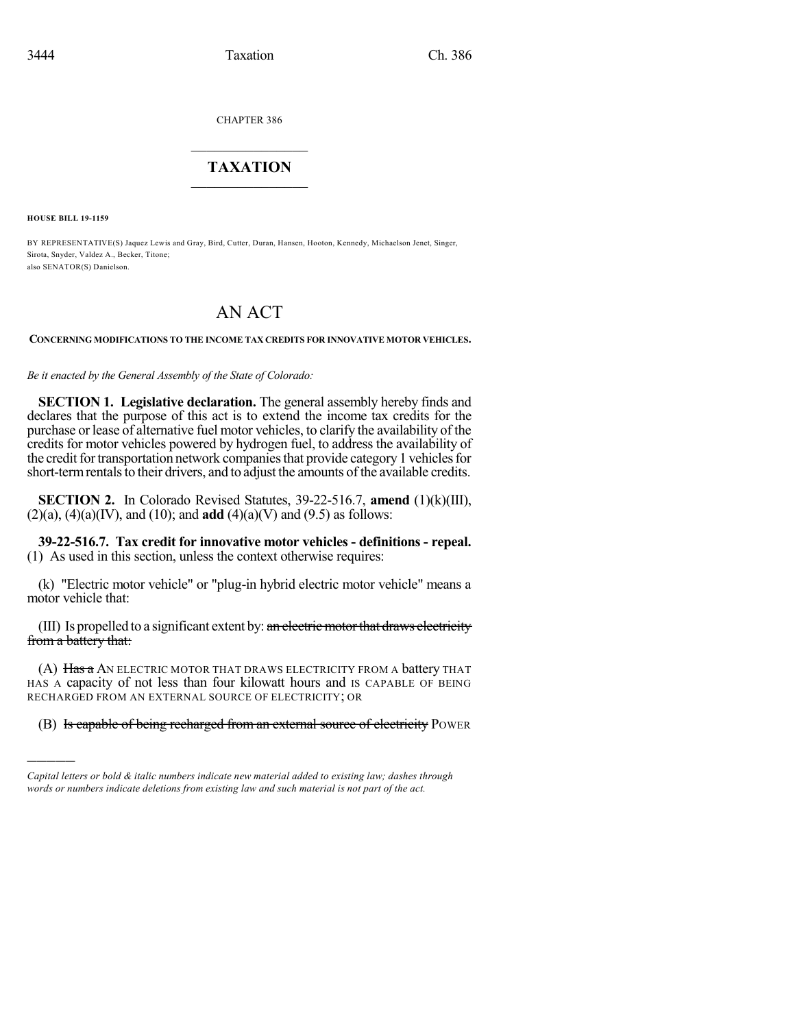CHAPTER 386

## $\mathcal{L}_\text{max}$  . The set of the set of the set of the set of the set of the set of the set of the set of the set of the set of the set of the set of the set of the set of the set of the set of the set of the set of the set **TAXATION**  $\_$

**HOUSE BILL 19-1159**

)))))

BY REPRESENTATIVE(S) Jaquez Lewis and Gray, Bird, Cutter, Duran, Hansen, Hooton, Kennedy, Michaelson Jenet, Singer, Sirota, Snyder, Valdez A., Becker, Titone; also SENATOR(S) Danielson.

# AN ACT

#### **CONCERNING MODIFICATIONS TO THE INCOME TAX CREDITS FOR INNOVATIVE MOTOR VEHICLES.**

*Be it enacted by the General Assembly of the State of Colorado:*

**SECTION 1. Legislative declaration.** The general assembly hereby finds and declares that the purpose of this act is to extend the income tax credits for the purchase or lease of alternative fuel motor vehicles, to clarify the availability of the credits for motor vehicles powered by hydrogen fuel, to address the availability of the credit for transportation network companies that provide category 1 vehicles for short-term rentals to their drivers, and to adjust the amounts of the available credits.

**SECTION 2.** In Colorado Revised Statutes, 39-22-516.7, **amend** (1)(k)(III),  $(2)(a)$ ,  $(4)(a)(IV)$ , and  $(10)$ ; and **add**  $(4)(a)(V)$  and  $(9.5)$  as follows:

**39-22-516.7. Tax credit for innovative motor vehicles - definitions - repeal.** (1) As used in this section, unless the context otherwise requires:

(k) "Electric motor vehicle" or "plug-in hybrid electric motor vehicle" means a motor vehicle that:

(III) Is propelled to a significant extent by: an electric motor that draws electricity from a battery that:

(A) Has a AN ELECTRIC MOTOR THAT DRAWS ELECTRICITY FROM A battery THAT HAS A capacity of not less than four kilowatt hours and IS CAPABLE OF BEING RECHARGED FROM AN EXTERNAL SOURCE OF ELECTRICITY; OR

(B) Is capable of being recharged from an external source of electricity POWER

*Capital letters or bold & italic numbers indicate new material added to existing law; dashes through words or numbers indicate deletions from existing law and such material is not part of the act.*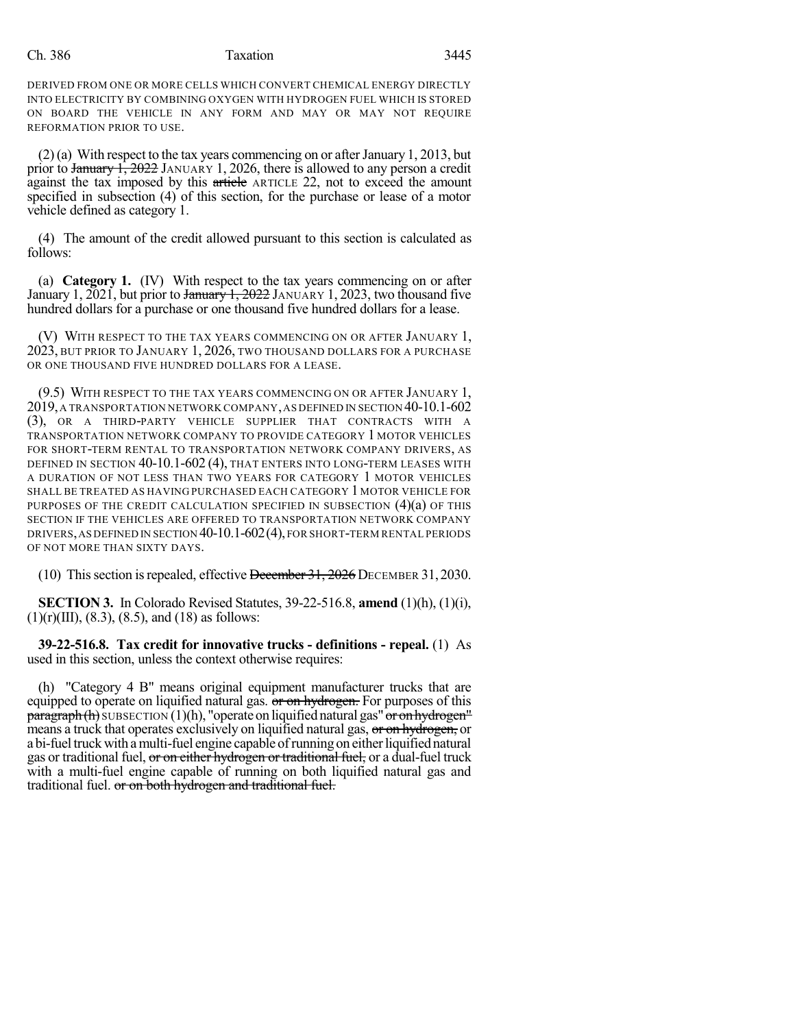#### Ch. 386 **Taxation** 3445

DERIVED FROM ONE OR MORE CELLS WHICH CONVERT CHEMICAL ENERGY DIRECTLY INTO ELECTRICITY BY COMBINING OXYGEN WITH HYDROGEN FUEL WHICH IS STORED ON BOARD THE VEHICLE IN ANY FORM AND MAY OR MAY NOT REQUIRE REFORMATION PRIOR TO USE.

 $(2)$ (a) With respect to the tax years commencing on or after January 1, 2013, but prior to January 1, 2022 JANUARY 1, 2026, there is allowed to any person a credit against the tax imposed by this article ARTICLE 22, not to exceed the amount specified in subsection (4) of this section, for the purchase or lease of a motor vehicle defined as category 1.

(4) The amount of the credit allowed pursuant to this section is calculated as follows:

(a) **Category 1.** (IV) With respect to the tax years commencing on or after January 1, 2021, but prior to January 1, 2022 JANUARY 1, 2023, two thousand five hundred dollars for a purchase or one thousand five hundred dollars for a lease.

(V) WITH RESPECT TO THE TAX YEARS COMMENCING ON OR AFTER JANUARY 1, 2023, BUT PRIOR TO JANUARY 1, 2026, TWO THOUSAND DOLLARS FOR A PURCHASE OR ONE THOUSAND FIVE HUNDRED DOLLARS FOR A LEASE.

(9.5) WITH RESPECT TO THE TAX YEARS COMMENCING ON OR AFTER JANUARY 1, 2019,A TRANSPORTATION NETWORK COMPANY,AS DEFINED IN SECTION 40-10.1-602 (3), OR A THIRD-PARTY VEHICLE SUPPLIER THAT CONTRACTS WITH A TRANSPORTATION NETWORK COMPANY TO PROVIDE CATEGORY 1 MOTOR VEHICLES FOR SHORT-TERM RENTAL TO TRANSPORTATION NETWORK COMPANY DRIVERS, AS DEFINED IN SECTION 40-10.1-602 (4), THAT ENTERS INTO LONG-TERM LEASES WITH A DURATION OF NOT LESS THAN TWO YEARS FOR CATEGORY 1 MOTOR VEHICLES SHALL BE TREATED AS HAVING PURCHASED EACH CATEGORY 1 MOTOR VEHICLE FOR PURPOSES OF THE CREDIT CALCULATION SPECIFIED IN SUBSECTION (4)(a) OF THIS SECTION IF THE VEHICLES ARE OFFERED TO TRANSPORTATION NETWORK COMPANY DRIVERS,AS DEFINED IN SECTION 40-10.1-602(4),FOR SHORT-TERM RENTAL PERIODS OF NOT MORE THAN SIXTY DAYS.

(10) This section is repealed, effective  $\frac{1}{31}$ , 2026 DECEMBER 31, 2030.

**SECTION 3.** In Colorado Revised Statutes, 39-22-516.8, **amend** (1)(h), (1)(i),  $(1)(r)(III)$ ,  $(8.3)$ ,  $(8.5)$ , and  $(18)$  as follows:

**39-22-516.8. Tax credit for innovative trucks - definitions - repeal.** (1) As used in this section, unless the context otherwise requires:

(h) "Category 4 B" means original equipment manufacturer trucks that are equipped to operate on liquified natural gas. or on hydrogen. For purposes of this **paragraph(h)** SUBSECTION (1)(h), "operate on liquified natural gas" or on hydrogen" means a truck that operates exclusively on liquified natural gas, or on hydrogen, or a bi-fuel truck with a multi-fuel engine capable of running on either liquified natural gas or traditional fuel, or on either hydrogen or traditional fuel, or a dual-fuel truck with a multi-fuel engine capable of running on both liquified natural gas and traditional fuel. or on both hydrogen and traditional fuel.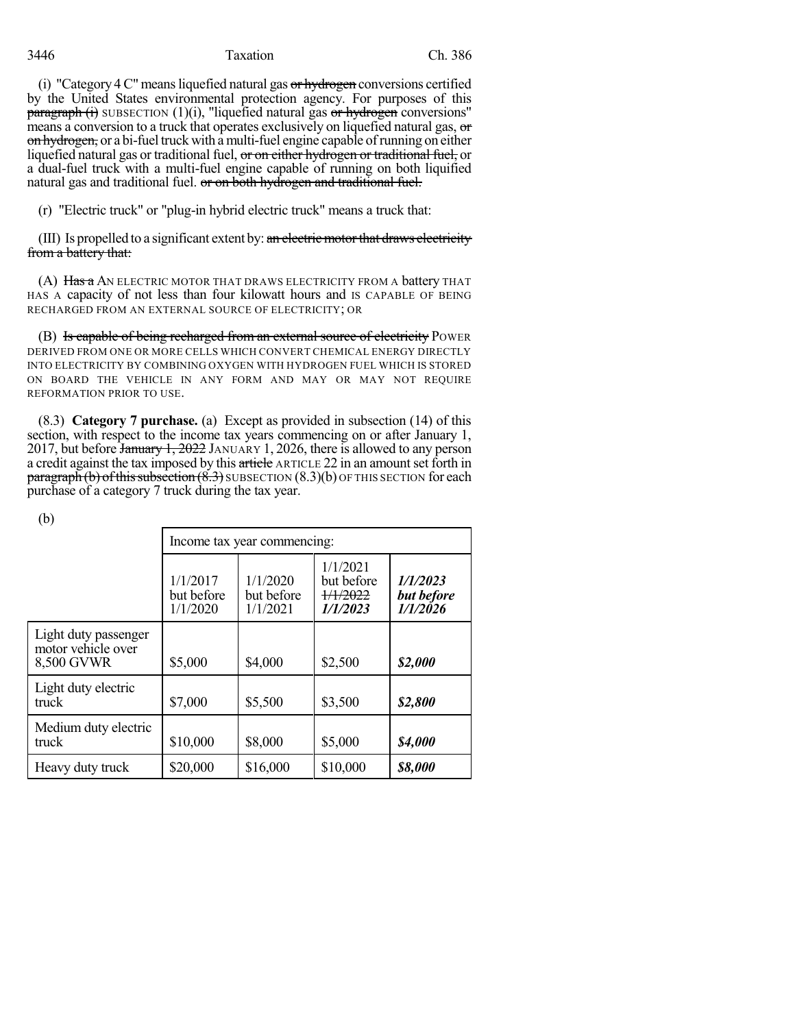## 3446 Taxation Ch. 386

(i) "Category  $4^{\circ}$  means liquefied natural gas or hydrogen conversions certified by the United States environmental protection agency. For purposes of this  $\frac{\text{parameter of}}{\text{parameter of}}$  subsection (1)(i), "liquefied natural gas or hydrogen conversions" means a conversion to a truck that operates exclusively on liquefied natural gas, or on hydrogen, or a bi-fuel truck with a multi-fuel engine capable of running on either liquefied natural gas or traditional fuel, or on either hydrogen or traditional fuel, or a dual-fuel truck with a multi-fuel engine capable of running on both liquified natural gas and traditional fuel. or on both hydrogen and traditional fuel.

(r) "Electric truck" or "plug-in hybrid electric truck" means a truck that:

(III) Is propelled to a significant extent by:  $\alpha n$  electric motor that draws electricity from a battery that:

(A) Has a AN ELECTRIC MOTOR THAT DRAWS ELECTRICITY FROM A battery THAT HAS A capacity of not less than four kilowatt hours and IS CAPABLE OF BEING RECHARGED FROM AN EXTERNAL SOURCE OF ELECTRICITY; OR

(B) Is capable of being recharged from an external source of electricity POWER DERIVED FROM ONE OR MORE CELLS WHICH CONVERT CHEMICAL ENERGY DIRECTLY INTO ELECTRICITY BY COMBINING OXYGEN WITH HYDROGEN FUEL WHICH IS STORED ON BOARD THE VEHICLE IN ANY FORM AND MAY OR MAY NOT REQUIRE REFORMATION PRIOR TO USE.

(8.3) **Category 7 purchase.** (a) Except as provided in subsection (14) of this section, with respect to the income tax years commencing on or after January 1, 2017, but before *January 1, 2022* JANUARY 1, 2026, there is allowed to any person a credit against the tax imposed by this article ARTICLE 22 in an amount set forth in  $\frac{\text{pargraph}}{\text{b}}$  (b) of this subsection  $(8.3)$  SUBSECTION  $(8.3)(b)$  OF THIS SECTION for each purchase of a category 7 truck during the tax year.

(b)

|                                                          | Income tax year commencing:        |                                    |                                                |                                    |  |
|----------------------------------------------------------|------------------------------------|------------------------------------|------------------------------------------------|------------------------------------|--|
|                                                          | 1/1/2017<br>but before<br>1/1/2020 | 1/1/2020<br>but before<br>1/1/2021 | 1/1/2021<br>but before<br>1/1/2022<br>1/1/2023 | 1/1/2023<br>but before<br>1/1/2026 |  |
| Light duty passenger<br>motor vehicle over<br>8,500 GVWR | \$5,000                            | \$4,000                            | \$2,500                                        | \$2,000                            |  |
| Light duty electric<br>truck                             | \$7,000                            | \$5,500                            | \$3,500                                        | \$2,800                            |  |
| Medium duty electric<br>truck                            | \$10,000                           | \$8,000                            | \$5,000                                        | \$4,000                            |  |
| Heavy duty truck                                         | \$20,000                           | \$16,000                           | \$10,000                                       | \$8,000                            |  |